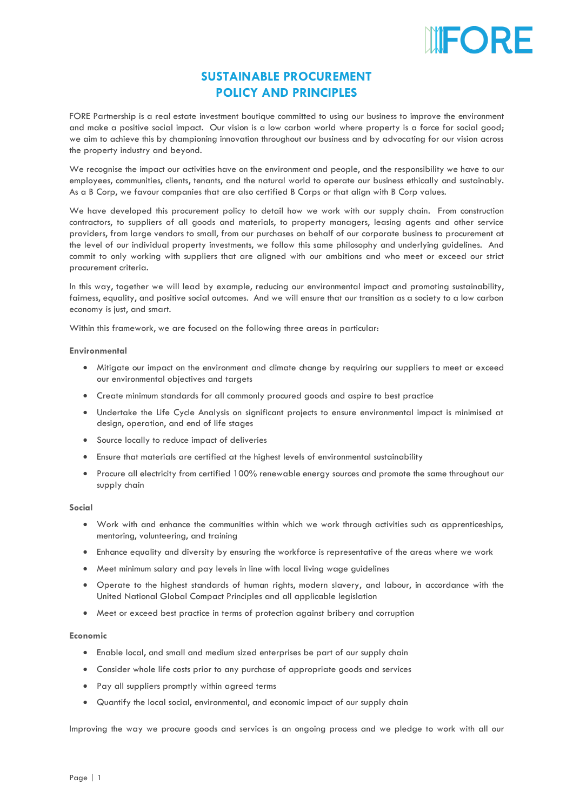

# **SUSTAINABLE PROCUREMENT POLICY AND PRINCIPLES**

FORE Partnership is a real estate investment boutique committed to using our business to improve the environment and make a positive social impact. Our vision is a low carbon world where property is a force for social good; we aim to achieve this by championing innovation throughout our business and by advocating for our vision across the property industry and beyond.

We recognise the impact our activities have on the environment and people, and the responsibility we have to our employees, communities, clients, tenants, and the natural world to operate our business ethically and sustainably. As a B Corp, we favour companies that are also certified B Corps or that align with B Corp values.

We have developed this procurement policy to detail how we work with our supply chain. From construction contractors, to suppliers of all goods and materials, to property managers, leasing agents and other service providers, from large vendors to small, from our purchases on behalf of our corporate business to procurement at the level of our individual property investments, we follow this same philosophy and underlying guidelines. And commit to only working with suppliers that are aligned with our ambitions and who meet or exceed our strict procurement criteria.

In this way, together we will lead by example, reducing our environmental impact and promoting sustainability, fairness, equality, and positive social outcomes. And we will ensure that our transition as a society to a low carbon economy is just, and smart.

Within this framework, we are focused on the following three areas in particular:

### **Environmental**

- Mitigate our impact on the environment and climate change by requiring our suppliers to meet or exceed our environmental objectives and targets
- Create minimum standards for all commonly procured goods and aspire to best practice
- Undertake the Life Cycle Analysis on significant projects to ensure environmental impact is minimised at design, operation, and end of life stages
- Source locally to reduce impact of deliveries
- Ensure that materials are certified at the highest levels of environmental sustainability
- Procure all electricity from certified 100% renewable energy sources and promote the same throughout our supply chain

#### **Social**

- Work with and enhance the communities within which we work through activities such as apprenticeships, mentoring, volunteering, and training
- Enhance equality and diversity by ensuring the workforce is representative of the areas where we work
- Meet minimum salary and pay levels in line with local living wage guidelines
- Operate to the highest standards of human rights, modern slavery, and labour, in accordance with the United National Global Compact Principles and all applicable legislation
- Meet or exceed best practice in terms of protection against bribery and corruption

#### **Economic**

- Enable local, and small and medium sized enterprises be part of our supply chain
- Consider whole life costs prior to any purchase of appropriate goods and services
- Pay all suppliers promptly within agreed terms
- Quantify the local social, environmental, and economic impact of our supply chain

Improving the way we procure goods and services is an ongoing process and we pledge to work with all our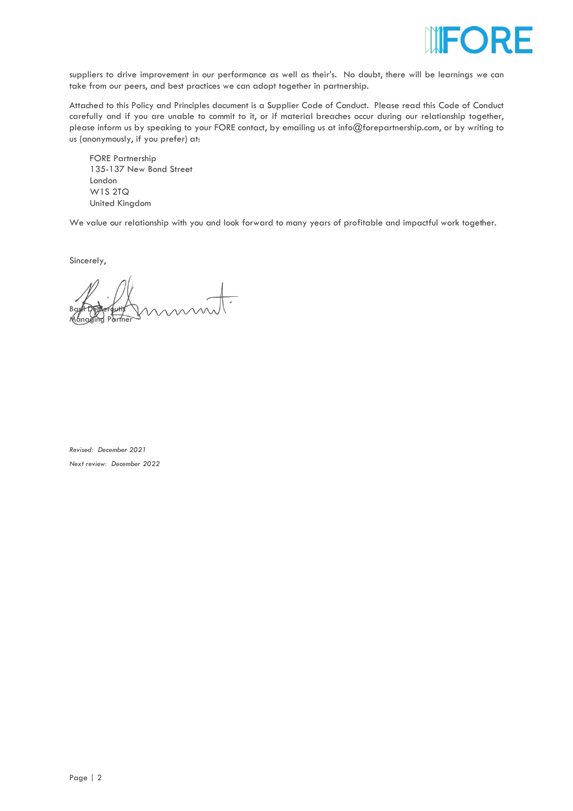

suppliers to drive improvement in our performance as well as their's. No doubt, there will be learnings we can take from our peers, and best practices we can adopt together in partnership.

Attached to this Policy and Principles document is a Supplier Code of Conduct. Please read this Code of Conduct carefully and if you are unable to commit to it, or if material breaches occur during our relationship together, please inform us by speaking to your FORE contact, by emailing us at info@forepartnership.com, or by writing to us (anonymously, if you prefer) at:

FORE Partnership 135-137 New Bond Street London W1S 2TQ United Kingdom

We value our relationship with you and look forward to many years of profitable and impactful work together.

Sincerely,

Basil Demeroutis Managing Partner

*Revised: December 2021 Next review: December 2022*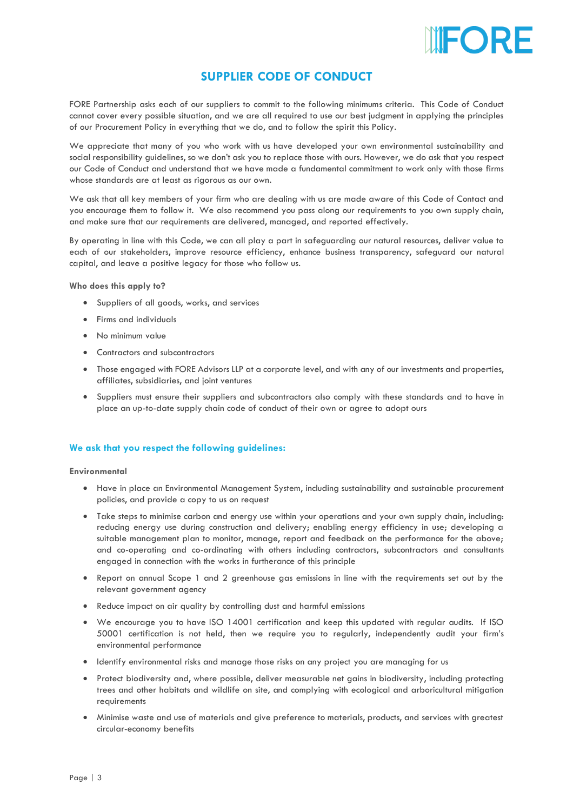

# **SUPPLIER CODE OF CONDUCT**

FORE Partnership asks each of our suppliers to commit to the following minimums criteria. This Code of Conduct cannot cover every possible situation, and we are all required to use our best judgment in applying the principles of our Procurement Policy in everything that we do, and to follow the spirit this Policy.

We appreciate that many of you who work with us have developed your own environmental sustainability and social responsibility guidelines, so we don't ask you to replace those with ours. However, we do ask that you respect our Code of Conduct and understand that we have made a fundamental commitment to work only with those firms whose standards are at least as rigorous as our own.

We ask that all key members of your firm who are dealing with us are made aware of this Code of Contact and you encourage them to follow it. We also recommend you pass along our requirements to you own supply chain, and make sure that our requirements are delivered, managed, and reported effectively.

By operating in line with this Code, we can all play a part in safeguarding our natural resources, deliver value to each of our stakeholders, improve resource efficiency, enhance business transparency, safeguard our natural capital, and leave a positive legacy for those who follow us.

## **Who does this apply to?**

- Suppliers of all goods, works, and services
- Firms and individuals
- No minimum value
- Contractors and subcontractors
- Those engaged with FORE Advisors LLP at a corporate level, and with any of our investments and properties, affiliates, subsidiaries, and joint ventures
- Suppliers must ensure their suppliers and subcontractors also comply with these standards and to have in place an up-to-date supply chain code of conduct of their own or agree to adopt ours

# **We ask that you respect the following guidelines:**

## **Environmental**

- Have in place an Environmental Management System, including sustainability and sustainable procurement policies, and provide a copy to us on request
- Take steps to minimise carbon and energy use within your operations and your own supply chain, including: reducing energy use during construction and delivery; enabling energy efficiency in use; developing a suitable management plan to monitor, manage, report and feedback on the performance for the above; and co-operating and co-ordinating with others including contractors, subcontractors and consultants engaged in connection with the works in furtherance of this principle
- Report on annual Scope 1 and 2 greenhouse gas emissions in line with the requirements set out by the relevant government agency
- Reduce impact on air quality by controlling dust and harmful emissions
- We encourage you to have ISO 14001 certification and keep this updated with regular audits. If ISO 50001 certification is not held, then we require you to regularly, independently audit your firm's environmental performance
- Identify environmental risks and manage those risks on any project you are managing for us
- Protect biodiversity and, where possible, deliver measurable net gains in biodiversity, including protecting trees and other habitats and wildlife on site, and complying with ecological and arboricultural mitigation requirements
- Minimise waste and use of materials and give preference to materials, products, and services with greatest circular-economy benefits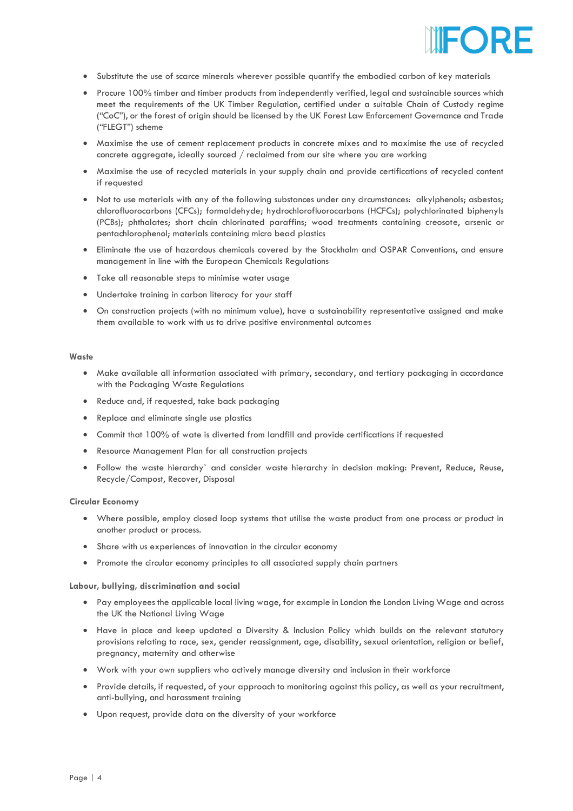

- Substitute the use of scarce minerals wherever possible quantify the embodied carbon of key materials
- Procure 100% timber and timber products from independently verified, legal and sustainable sources which meet the requirements of the UK Timber Regulation, certified under a suitable Chain of Custody regime ("CoC"), or the forest of origin should be licensed by the UK Forest Law Enforcement Governance and Trade ("FLEGT") scheme
- Maximise the use of cement replacement products in concrete mixes and to maximise the use of recycled concrete aggregate, ideally sourced / reclaimed from our site where you are working
- Maximise the use of recycled materials in your supply chain and provide certifications of recycled content if requested
- Not to use materials with any of the following substances under any circumstances: alkylphenols; asbestos; chlorofluorocarbons (CFCs); formaldehyde; hydrochlorofluorocarbons (HCFCs); polychlorinated biphenyls (PCBs); phthalates; short chain chlorinated paraffins; wood treatments containing creosote, arsenic or pentachlorophenol; materials containing micro bead plastics
- Eliminate the use of hazardous chemicals covered by the Stockholm and OSPAR Conventions, and ensure management in line with the European Chemicals Regulations
- Take all reasonable steps to minimise water usage
- Undertake training in carbon literacy for your staff
- On construction projects (with no minimum value), have a sustainability representative assigned and make them available to work with us to drive positive environmental outcomes

#### **Waste**

- Make available all information associated with primary, secondary, and tertiary packaging in accordance with the Packaging Waste Regulations
- Reduce and, if requested, take back packaging
- Replace and eliminate single use plastics
- Commit that 100% of wate is diverted from landfill and provide certifications if requested
- Resource Management Plan for all construction projects
- Follow the waste hierarchy` and consider waste hierarchy in decision making: Prevent, Reduce, Reuse, Recycle/Compost, Recover, Disposal

#### **Circular Economy**

- Where possible, employ closed loop systems that utilise the waste product from one process or product in another product or process.
- Share with us experiences of innovation in the circular economy
- Promote the circular economy principles to all associated supply chain partners

**Labour, bullying, discrimination and social**

- Pay employees the applicable local living wage, for example in London the London Living Wage and across the UK the National Living Wage
- Have in place and keep updated a Diversity & Inclusion Policy which builds on the relevant statutory provisions relating to race, sex, gender reassignment, age, disability, sexual orientation, religion or belief, pregnancy, maternity and otherwise
- Work with your own suppliers who actively manage diversity and inclusion in their workforce
- Provide details, if requested, of your approach to monitoring against this policy, as well as your recruitment, anti-bullying, and harassment training
- Upon request, provide data on the diversity of your workforce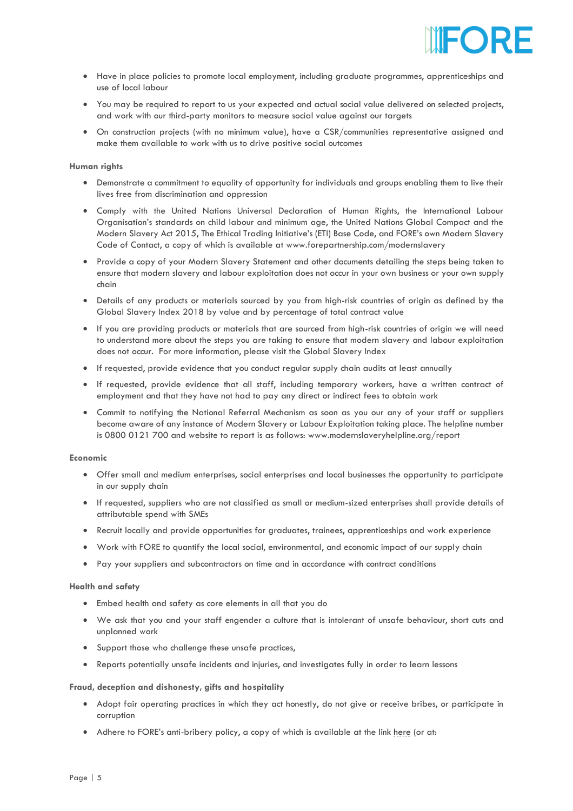

- Have in place policies to promote local employment, including graduate programmes, apprenticeships and use of local labour
- You may be required to report to us your expected and actual social value delivered on selected projects, and work with our third-party monitors to measure social value against our targets
- On construction projects (with no minimum value), have a CSR/communities representative assigned and make them available to work with us to drive positive social outcomes

## **Human rights**

- Demonstrate a commitment to equality of opportunity for individuals and groups enabling them to live their lives free from discrimination and oppression
- Comply with the United Nations Universal Declaration of Human Rights, the International Labour Organisation's standards on child labour and minimum age, the United Nations Global Compact and the Modern Slavery Act 2015, The Ethical Trading Initiative's (ETI) Base Code, and FORE's own Modern Slavery Code of Contact, a copy of which is available at www.forepartnership.com/modernslavery
- Provide a copy of your Modern Slavery Statement and other documents detailing the steps being taken to ensure that modern slavery and labour exploitation does not occur in your own business or your own supply chain
- Details of any products or materials sourced by you from high-risk countries of origin as defined by the Global Slavery Index 2018 by value and by percentage of total contract value
- If you are providing products or materials that are sourced from high-risk countries of origin we will need to understand more about the steps you are taking to ensure that modern slavery and labour exploitation does not occur. For more information, please visit the Global Slavery Index
- If requested, provide evidence that you conduct regular supply chain audits at least annually
- If requested, provide evidence that all staff, including temporary workers, have a written contract of employment and that they have not had to pay any direct or indirect fees to obtain work
- Commit to notifying the National Referral Mechanism as soon as you our any of your staff or suppliers become aware of any instance of Modern Slavery or Labour Exploitation taking place. The helpline number is 0800 0121 700 and website to report is as follows: www.modernslaveryhelpline.org/report

# **Economic**

- Offer small and medium enterprises, social enterprises and local businesses the opportunity to participate in our supply chain
- If requested, suppliers who are not classified as small or medium-sized enterprises shall provide details of attributable spend with SMEs
- Recruit locally and provide opportunities for graduates, trainees, apprenticeships and work experience
- Work with FORE to quantify the local social, environmental, and economic impact of our supply chain
- Pay your suppliers and subcontractors on time and in accordance with contract conditions

## **Health and safety**

- Embed health and safety as core elements in all that you do
- We ask that you and your staff engender a culture that is intolerant of unsafe behaviour, short cuts and unplanned work
- Support those who challenge these unsafe practices,
- Reports potentially unsafe incidents and injuries, and investigates fully in order to learn lessons

#### **Fraud, deception and dishonesty, gifts and hospitality**

- Adopt fair operating practices in which they act honestly, do not give or receive bribes, or participate in corruption
- Ad[here](https://forepartnership.com/fore-anti-bribery_gifts_and_hospitality-policy/) to FORE's anti-bribery policy, a copy of which is available at the link here (or at: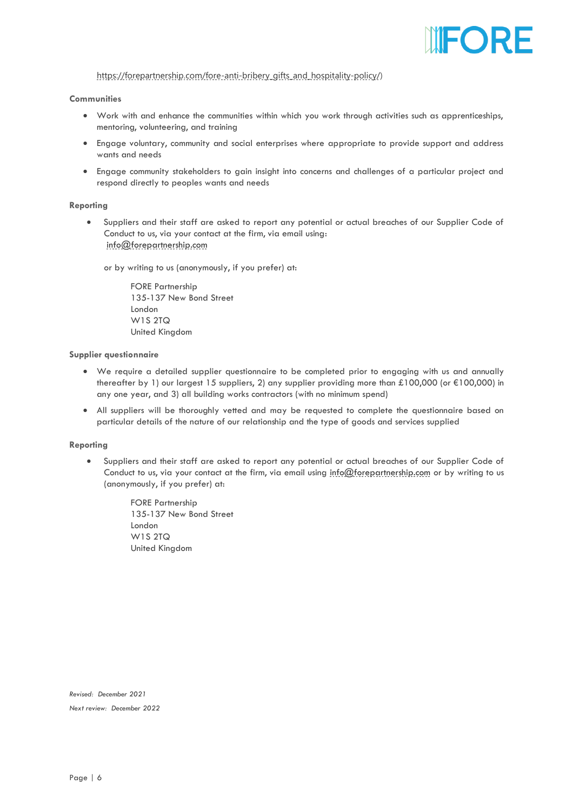

# [https://forepartnership.com/fore-anti-bribery\\_gifts\\_and\\_hospitality-policy/\)](https://forepartnership.com/fore-anti-bribery_gifts_and_hospitality-policy/)

# **Communities**

- Work with and enhance the communities within which you work through activities such as apprenticeships, mentoring, volunteering, and training
- Engage voluntary, community and social enterprises where appropriate to provide support and address wants and needs
- Engage community stakeholders to gain insight into concerns and challenges of a particular project and respond directly to peoples wants and needs

## **Reporting**

• Suppliers and their staff are asked to report any potential or actual breaches of our Supplier Code of Conduct to us, via your contact at the firm, via email using: [info@forepartnership.com](mailto:info@forepartnership.com)

or by writing to us (anonymously, if you prefer) at:

FORE Partnership 135-137 New Bond Street London W1S 2TQ United Kingdom

# **Supplier questionnaire**

- We require a detailed supplier questionnaire to be completed prior to engaging with us and annually thereafter by 1) our largest 15 suppliers, 2) any supplier providing more than £100,000 (or €100,000) in any one year, and 3) all building works contractors (with no minimum spend)
- All suppliers will be thoroughly vetted and may be requested to complete the questionnaire based on particular details of the nature of our relationship and the type of goods and services supplied

#### **Reporting**

• Suppliers and their staff are asked to report any potential or actual breaches of our Supplier Code of Conduct to us, via your contact at the firm, via email using [info@forepartnership.com](mailto:info@forepartnership.com) or by writing to us (anonymously, if you prefer) at:

> FORE Partnership 135-137 New Bond Street London W1S 2TQ United Kingdom

*Revised: December 2021 Next review: December 2022*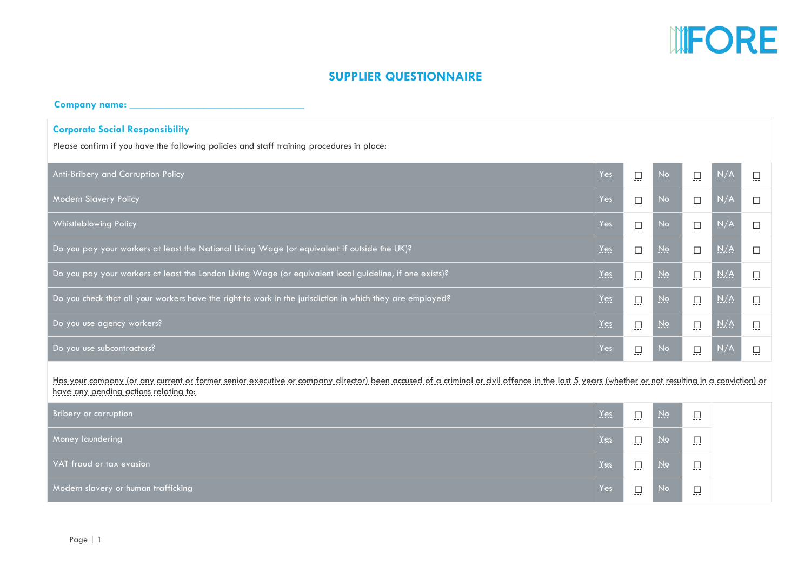

# **SUPPLIER QUESTIONNAIRE**

**Company name: \_\_\_\_\_\_\_\_\_\_\_\_\_\_\_\_\_\_\_\_\_\_\_\_\_\_\_\_\_\_\_\_\_**

# **Corporate Social Responsibility**

Please confirm if you have the following policies and staff training procedures in place:

| Anti-Bribery and Corruption Policy                                                                                                                                                                                                      | $Yes$ | $\square$ | $\underline{N}$ o       | $\square$ | N/A | 口 |  |  |  |
|-----------------------------------------------------------------------------------------------------------------------------------------------------------------------------------------------------------------------------------------|-------|-----------|-------------------------|-----------|-----|---|--|--|--|
| Modern Slavery Policy                                                                                                                                                                                                                   | Yes   | $\square$ | N <sub>Q</sub>          | 口         | N/A | 員 |  |  |  |
| <b>Whistleblowing Policy</b>                                                                                                                                                                                                            | Yes   | 口         | $Na$                    | $\square$ | N/A | 口 |  |  |  |
| Do you pay your workers at least the National Living Wage (or equivalent if outside the UK)?                                                                                                                                            | Yes   | $\Box$    | $Na$                    | $\Box$    | N/A | 口 |  |  |  |
| Do you pay your workers at least the London Living Wage (or equivalent local guideline, if one exists)?                                                                                                                                 | Yes   | 口         | $\underline{\text{No}}$ | 口         | N/A | 口 |  |  |  |
| Do you check that all your workers have the right to work in the jurisdiction in which they are employed?                                                                                                                               | Yes   | 口         | $\underline{N}$         | 口         | N/A | 員 |  |  |  |
| Do you use agency workers?                                                                                                                                                                                                              | Yes   | $\Box$    | $Na$                    | $\Box$    | N/A | 口 |  |  |  |
| Do you use subcontractors?                                                                                                                                                                                                              | Yes   | $\Box$    | $N_Q$                   | $\square$ | N/A | 口 |  |  |  |
| Has your company (or any current or former senior executive or company director) been accused of a criminal or givil offence in the last 5 years (whether or not resulting in a conviction) or<br>have any pending actions relating to: |       |           |                         |           |     |   |  |  |  |
| Bribery or corruption                                                                                                                                                                                                                   | Yes   | $\Box$    | $\underline{N}$         | 口         |     |   |  |  |  |
| Money laundering                                                                                                                                                                                                                        | Yes   | $\Box$    | $\underline{N}$         | 口         |     |   |  |  |  |
| VAT fraud or tax evasion                                                                                                                                                                                                                | Yes   | 口         | $Na$                    | 口         |     |   |  |  |  |
| Modern slavery or human trafficking                                                                                                                                                                                                     | Yes   | 口         | $Na$                    | 口         |     |   |  |  |  |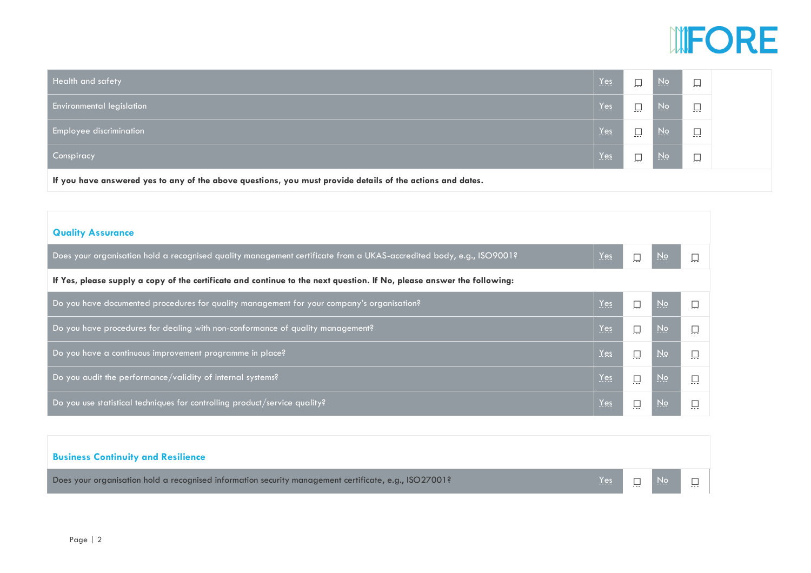

| Health and safety                                                                                          | Yes | $\Box$            | $\overline{M}$ o | $\Box$<br>المسال   |  |  |
|------------------------------------------------------------------------------------------------------------|-----|-------------------|------------------|--------------------|--|--|
| <b>Environmental legislation</b>                                                                           | Yes | $\Box$<br>المسترد | <u>No</u>        | $\Box$<br>المسترقي |  |  |
| Employee discrimination                                                                                    | Yes | $\Box$<br>يسين    | <u>No</u>        | $\Box$<br>يبيل     |  |  |
| Conspiracy                                                                                                 | Yes | $\Box$            | <u>No</u>        | $\Box$<br>ليبل     |  |  |
| If you have answered yes to any of the above questions, you must provide details of the actions and dates. |     |                   |                  |                    |  |  |

| <b>Quality Assurance</b>                                                                                               |     |                         |  |
|------------------------------------------------------------------------------------------------------------------------|-----|-------------------------|--|
| Does your organisation hold a recognised quality management certificate from a UKAS-accredited body, e.g., ISO9001?    | Yes | $\underline{\text{No}}$ |  |
| If Yes, please supply a copy of the certificate and continue to the next question. If No, please answer the following: |     |                         |  |
| Do you have documented procedures for quality management for your company's organisation?                              | Yes | <u>No</u>               |  |
| Do you have procedures for dealing with non-conformance of quality management?                                         | Yes | <u>No</u>               |  |
| Do you have a continuous improvement programme in place?                                                               | Yes | <u>No</u>               |  |
| Do you audit the performance/validity of internal systems?                                                             | Yes | No <sub>l</sub>         |  |
| Do you use statistical techniques for controlling product/service quality?                                             | Yes | No,                     |  |

| <b>Business Continuity and Resilience</b>                                                             |              |             |        |
|-------------------------------------------------------------------------------------------------------|--------------|-------------|--------|
| Does your organisation hold a recognised information security management certificate, e.g., ISO27001? | $Yes$ $\Box$ | <u>No l</u> | $\Box$ |
|                                                                                                       |              |             |        |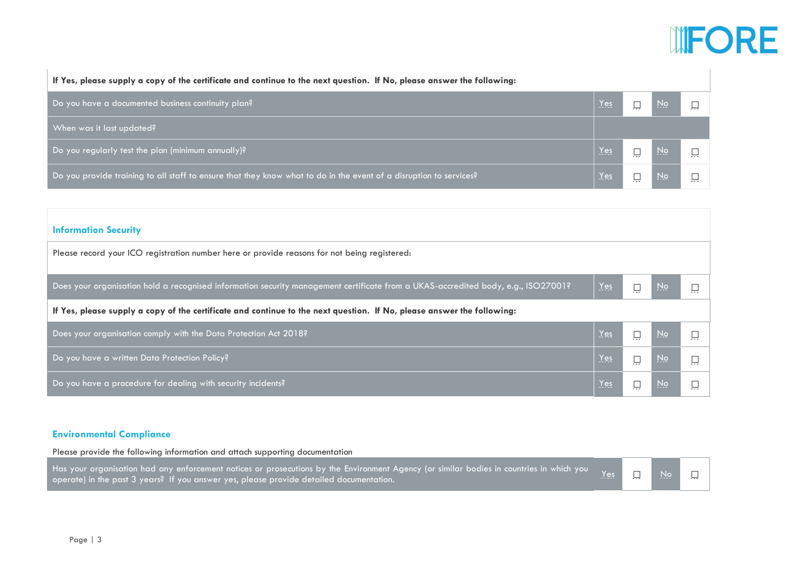# **INFORE**

| If Yes, please supply a copy of the certificate and continue to the next question. If No, please answer the following: |            |           |  |
|------------------------------------------------------------------------------------------------------------------------|------------|-----------|--|
| Do you have a documented business continuity plan?                                                                     | Yes        | <u>No</u> |  |
| When was it last updated?                                                                                              |            |           |  |
| Do you regularly test the plan (minimum annually)?                                                                     | Yes        | <u>No</u> |  |
| Do you provide training to all staff to ensure that they know what to do in the event of a disruption to services?     | <u>Yes</u> | <u>No</u> |  |

| <b>Information Security</b>                                                                                                       |     |     |           |  |  |  |
|-----------------------------------------------------------------------------------------------------------------------------------|-----|-----|-----------|--|--|--|
| Please record your ICO registration number here or provide reasons for not being registered:                                      |     |     |           |  |  |  |
| Does your organisation hold a recognised information security management certificate from a UKAS-accredited body, e.g., ISO27001? | Yes |     | <u>No</u> |  |  |  |
| If Yes, please supply a copy of the certificate and continue to the next question. If No, please answer the following:            |     |     |           |  |  |  |
| Does your organisation comply with the Data Protection Act 2018?                                                                  | Yes |     | <u>No</u> |  |  |  |
| Do you have a written Data Protection Policy?                                                                                     | Yes |     | <u>No</u> |  |  |  |
| Do you have a procedure for dealing with security incidents?                                                                      | Yes | يست | <u>No</u> |  |  |  |

# **Environmental Compliance**

Please provide the following information and attach supporting documentation

Has your organisation had any enforcement notices or prosecutions by the Environment Agency (or similar bodies in countries in which you operate) in the past 3 years? If you answer yes, please provide detailed documentation.<br>Operate) in the past 3 years? If you answer yes, please provide detailed documentation.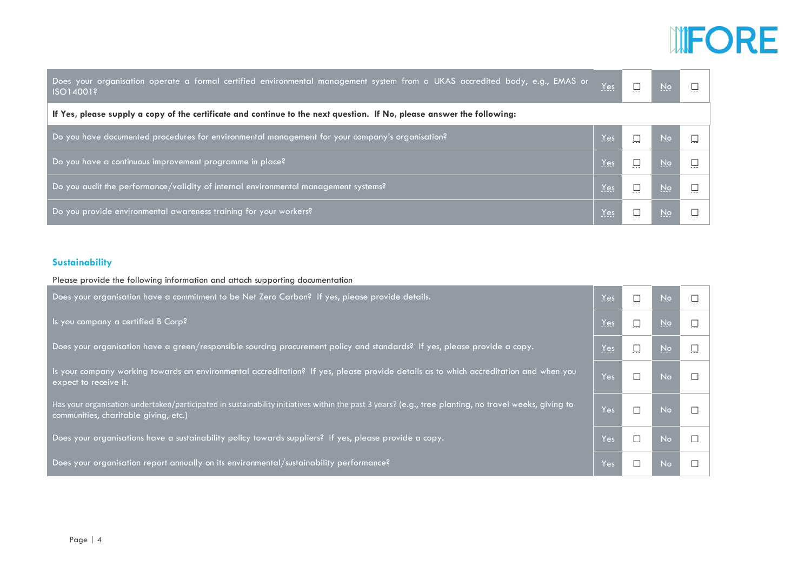# UFORE

| Does your organisation operate a formal certified environmental management system from a UKAS accredited body, e.g., EMAS or<br>ISO14001? | Yes        |  | <u>No</u> |  |  |
|-------------------------------------------------------------------------------------------------------------------------------------------|------------|--|-----------|--|--|
| If Yes, please supply a copy of the certificate and continue to the next question. If No, please answer the following:                    |            |  |           |  |  |
| Do you have documented procedures for environmental management for your company's organisation?                                           | Yes        |  | <u>No</u> |  |  |
| Do you have a continuous improvement programme in place?                                                                                  | Yes        |  | <u>No</u> |  |  |
| Do you audit the performance/validity of internal environmental management systems?                                                       | Yes        |  | <u>No</u> |  |  |
| Do you provide environmental awareness training for your workers?                                                                         | <u>Yes</u> |  | <u>No</u> |  |  |

# **Sustainability**

| Please provide the following information and attach supporting documentation                                                                                                                   |     |        |                        |  |
|------------------------------------------------------------------------------------------------------------------------------------------------------------------------------------------------|-----|--------|------------------------|--|
| Does your organisation have a commitment to be Net Zero Carbon? If yes, please provide details.                                                                                                | Yes | 口      | $\overline{\text{No}}$ |  |
| Is you company a certified B Corp?                                                                                                                                                             | Yes | $\Box$ | $Na$                   |  |
| Does your organisation have a green/responsible sourcing procurement policy and standards? If yes, please provide a copy.                                                                      | Yes | 口      | $\underline{NQ}$       |  |
| Is your company working towards an environmental accreditation? If yes, please provide details as to which accreditation and when you<br>expect to receive it.                                 | Yes | П      | <b>No</b>              |  |
| Has your organisation undertaken/participated in sustainability initiatives within the past 3 years? (e.g., tree planting, no travel weeks, giving to<br>communities, charitable giving, etc.) | Yes | П      | No                     |  |
| Does your organisations have a sustainability policy towards suppliers? If yes, please provide a copy.                                                                                         | Yes | П      | N <sub>o</sub>         |  |
| Does your organisation report annually on its environmental/sustainability performance?                                                                                                        | Yes |        | <b>No</b>              |  |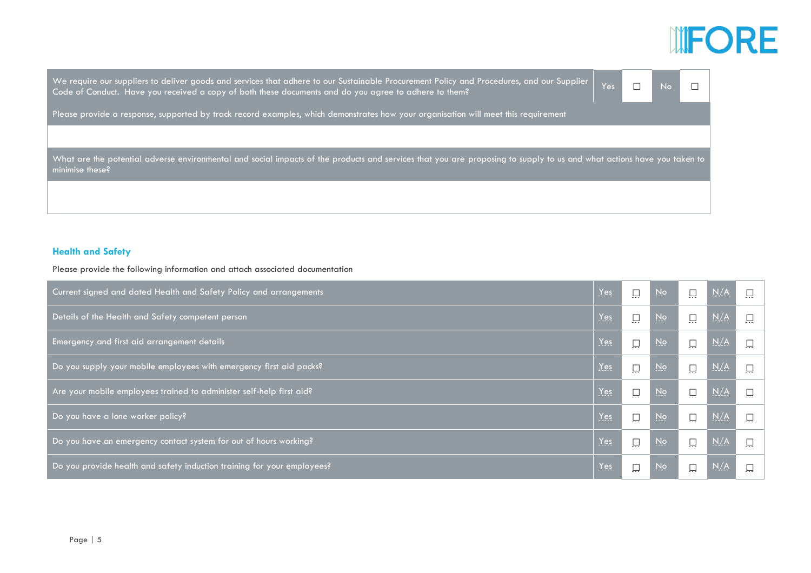# **INFORE**

We require our suppliers to deliver goods and services that adhere to our Sustainable Procurement Policy and Procedures, and our Supplier We require our suppliers to deliver goods and services that adhere to our Sustainable Procurement Policy and Procedures, and our Supplier | Yes □ No □<br>Code of Conduct. Have you received a copy of both these documents and d

Please provide a response, supported by track record examples, which demonstrates how your organisation will meet this requirement

What are the potential adverse environmental and social impacts of the products and services that you are proposing to supply to us and what actions have you taken to minimise these?

# **Health and Safety**

Please provide the following information and attach associated documentation

| Current signed and dated Health and Safety Policy and arrangements      | Yes | $\square$ | $\underline{N}$         | $\square$ | N/A                             | $\square$ |
|-------------------------------------------------------------------------|-----|-----------|-------------------------|-----------|---------------------------------|-----------|
| Details of the Health and Safety competent person                       | Yes | $\Box$    | $\overline{N}$          |           | N/A                             |           |
| Emergency and first aid arrangement details                             | Yes | $\Box$    | N <sub>Q</sub>          | $\Box$    | N/A                             | ρ         |
| Do you supply your mobile employees with emergency first aid packs?     | Yes | $\Box$    | $\underline{\text{No}}$ |           | N/A                             | $\Box$    |
| Are your mobile employees trained to administer self-help first aid?    | Yes | $\Box$    | N <sub>2</sub>          | ρ         | $\underline{\text{N}}/\text{A}$ | Ω         |
| Do you have a lone worker policy?                                       | Yes | $\Box$    | N <sub>Q</sub>          | $\Box$    | N/A                             | ρ         |
| Do you have an emergency contact system for out of hours working?       | Yes | $\Box$    | $\overline{N}$          | $\Box$    | N/A                             | $\square$ |
| Do you provide health and safety induction training for your employees? | Yes | $\square$ | No                      |           | N/A                             |           |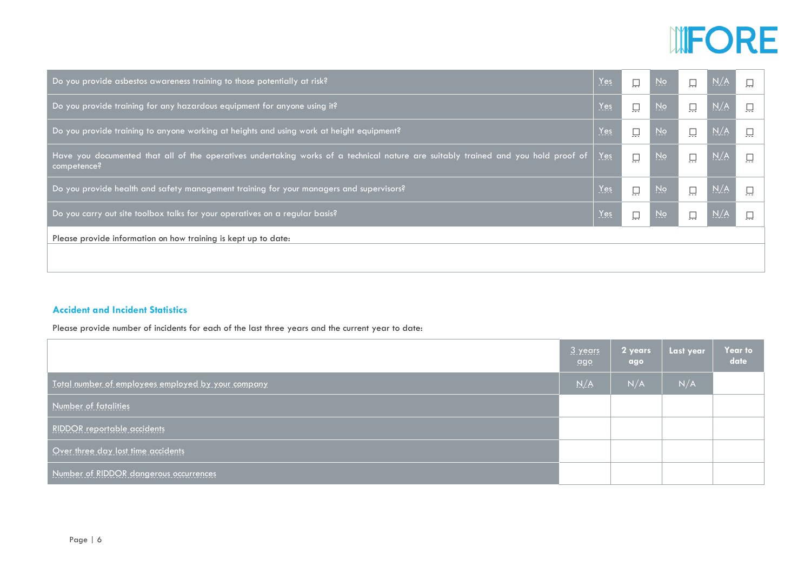

| Do you provide asbestos awareness training to those potentially at risk?                                                                         | $Yes$ | ρ         | $\underline{N}$  | $\Box$    | N/A |   |
|--------------------------------------------------------------------------------------------------------------------------------------------------|-------|-----------|------------------|-----------|-----|---|
| Do you provide training for any hazardous equipment for anyone using it?                                                                         | Yes   | $\square$ | No               | $\square$ | N/A | 口 |
| Do you provide training to anyone working at heights and using work at height equipment?                                                         | $Yes$ | $\Box$    | $\underline{No}$ | $\square$ | N/A |   |
| Have you documented that all of the operatives undertaking works of a technical nature are suitably trained and you hold proof of<br>competence? | Yes   | $\square$ | N <sub>Q</sub>   | $\square$ | N/A | Q |
| Do you provide health and safety management training for your managers and supervisors?                                                          | $Yes$ | $\Box$    | No               | $\Box$    | N/A |   |
| Do you carry out site toolbox talks for your operatives on a regular basis?                                                                      | Yes   | $\square$ | No.              | $\square$ | N/A | 口 |
| Please provide information on how training is kept up to date:                                                                                   |       |           |                  |           |     |   |
|                                                                                                                                                  |       |           |                  |           |     |   |

# **Accident and Incident Statistics**

Please provide number of incidents for each of the last three years and the current year to date:

|                                                    | 3 years<br><u>ago</u> | 2 years<br>ago | Last year | <b>Year to</b><br>date |
|----------------------------------------------------|-----------------------|----------------|-----------|------------------------|
| Total number of employees employed by your company | N/A                   | N/A            | N/A       |                        |
| Number of fatalities                               |                       |                |           |                        |
| <b>RIDDOR</b> reportable accidents                 |                       |                |           |                        |
| Over three day lost time accidents                 |                       |                |           |                        |
| Number of RIDDOR dangerous occurrences             |                       |                |           |                        |